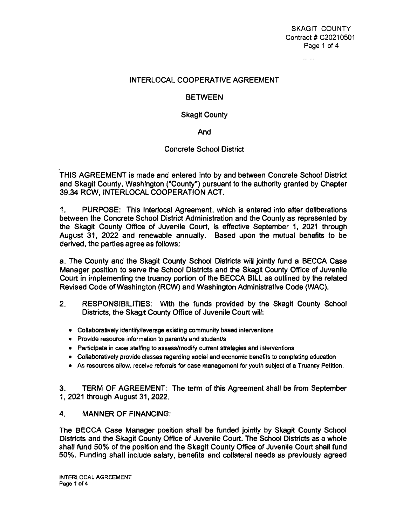## SKAGIT COUNTY Contract # C20210501 Page 1 of 4

 $\label{eq:1} \alpha_{\text{max}} = \alpha_{\text{max}}$ 

#### **INTERLOCAL COOPERATIVE AGREEMENT**

### **BETWEEN**

### **Skagit County**

**And** 

## **Concrete School District**

**THIS AGREEMENT is made and entered into by and between Concrete Schoof District and Skagit County, Washington ("County") pursuant to the authority granted by Chapter 39.34 RCW, INTERLOCAL COOPERATION ACT.** 

**1. PURPOSE: This lnterlocal Agreement, which is entered into after deliberations between the Concrete School District Administration and the County as represented by the Skagit County Office of Juvenile Court, is effective September 1. 2021 through August 31, 2022 and renewable annually. Based upon the mutual benefits to be derived, the parties agree as follows:** 

**a. The County** *and* **the Skagit County School Districts will jointly fund a BECCA Case Manager position to serve the School Districts and the Skagit County Office of Juvenile Court in implementing the truancy portion of the BECCA BILL as outlined by the related Revised Code of Washington (RCW) and Washington Administrative Code (WAC).** 

- **2. RESPONSIBILITIES: With the funds provided by the Skagit County School Districts, the Skagit County Office of Juvenile Court wilt:** 
	- **Collaboratively identify/leverage existing community based interventions**
	- **Provide resource Information to parent/s and studen1/s**
	- **Participate in case** staffing **to assess/modify current strategies and interventions**
	- **Collaboratively provide classes regarding social and economic benefits to completing education**
	- As **resources allow, receive referrals for case management for youth subject of a Truancy Petition.**

**3. TERM OF AGREEMENT: The term of this Agreement shall be from September 1, 2021 through August 31, 2022.** 

# **4. MANNER OF FINANCING:**

**The BECCA Case Manager position shall be funded jointly** by **Skagit County School Districts and the Skagit County Office of Juvenile Court. The School Districts as a whole shall fund 50% of the position and the Skagit County Office of Juvenile Court shall fund 50%. Funding shall include salary, benefits and collateral needs as previousfy agreed** 

"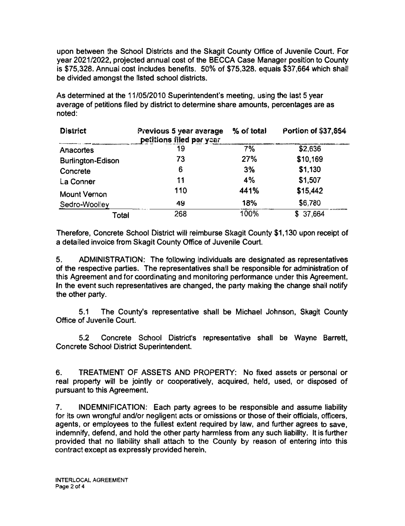upon between the School Districts and the Skagit County Office of Juvenile Court. For year 2021/2022, projected annual cost of the BECCA Case Manager position to County is \$75,328. Annual cost includes benefits. 50% of \$75,328. equals \$37,664 which shall be divided amongst the listed school districts.

As determined at the 11/05/2010 Superintendent's meeting, using **the** last 5 year average of petitions filed **by** district to determine share amounts, percentages are as noted:

| <b>District</b>          | Previous 5 year average<br>petitions filed per year | % of total | Portion of \$37,654 |
|--------------------------|-----------------------------------------------------|------------|---------------------|
| Anacortes                | 19                                                  | 7%         | \$2,636             |
| <b>Burlington-Edison</b> | 73                                                  | 27%        | \$10,169            |
| Concrete                 | 6                                                   | 3%         | \$1,130             |
| La Conner                | 11                                                  | 4%         | \$1,507             |
| <b>Mount Vernon</b>      | 110                                                 | 441%       | \$15,442            |
| Sedro-Woolley            | 49                                                  | 18%        | \$6,780             |
| Total                    | 268                                                 | 100%       | \$37,664            |

Therefore, Concrete School District will reimburse Skagit County \$1,130 upon receipt of a detailed invoice from Skagit County Office of Juvenile Court.

5. ADMINISTRATION: The following Individuals are designated as representatives of the respective parties. The representatives shall be responsible for administration of this Agreement and for coordinating and monitoring performance under this Agreement. In the event such representatives are changed, the party making the change shall notify the other party.

5.1 The County's representative shall **be** Michael Johnson. Skagit County Office of Juvenile Court.

**5.2** Concrete **School District's representative shall be** Wayne **Barrett,**  Concrete School District Superintendent.

6. TREATMENT OF ASSETS AND PROPERTY: No fixed assets or personal or real property witl be jointly or cooperatively, acquired, held, used, or disposed of pursuant **to** this Agreement.

7. INDEMNIFICATION: Each party agrees to be responsible and assume liability for its own wrongful and/or negligent acts or omissions or those of their officials, officers, agents, or employees to the fullest extent required **by** law, and further agrees to save, indemnify, defend, and hold the other party harmless from any such liability. It is further provided that no liability shall attach to the County **by** reason of entering into this contract except as expressly provided herein.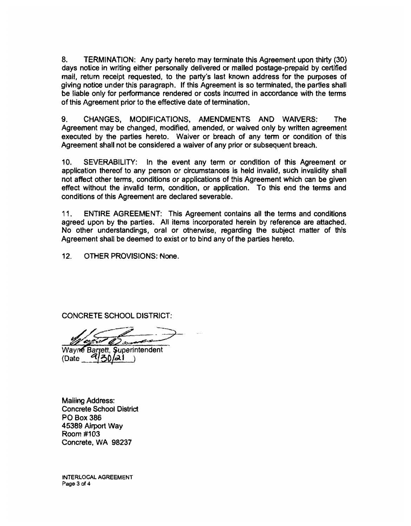8. TERMINATION: Any party hereto may terminate this Agreement upon thirty (30) days notice in writing either personally delivered or mailed postage-prepaid by certified mail, retum receipt requested, to the party's last known address for the purposes of giving notice under this paragraph. If this Agreement is so terminated, the parties shall be liable only for performance rendered or costs incurred in accordance with the terms of this Agreement prior to the effective date of termination.

9. CHANGES, MODIFICATIONS, AMENDMENTS AND WAIVERS: The Agreement may be changed, modified, amended, or waived only by written agreement executed by the parties hereto. Waiver or breach of any term or condition of this Agreement shall not be considered a waiver of any prior or subsequent breach.

10. SEVERABILITY: In the event any term or condition of this Agreement or application thereof to any person or circumstances is held invalid, such invalidity shall not affect other terms, conditions or applications of this Agreement which can be given effect without the invalid term, condition, or application. To this end the terms and conditions of this Agreement are declared severable.

11. ENTIRE AGREEMENT: This Agreement contains all the terms and conditions agreed upon by the parties. All items incorporated herein by reference are attached. No other understandings, oral or otherwise, regarding the subject matter of this Agreement shall be deemed to exist or to bind any of the parties hereto.

12. OTHER PROVISIONS: None.

CONCRETE SCHOOL DISTRICT:

(Date\_ &{ **oO** ~· • Wayne Barrett, Superintendent

Mailing Address: Concrete School District PO Box 386 45389 Airport Way Room#103 Concrete, WA 98237

**INTERLOCAL AGREEMENT Page 3 of4**